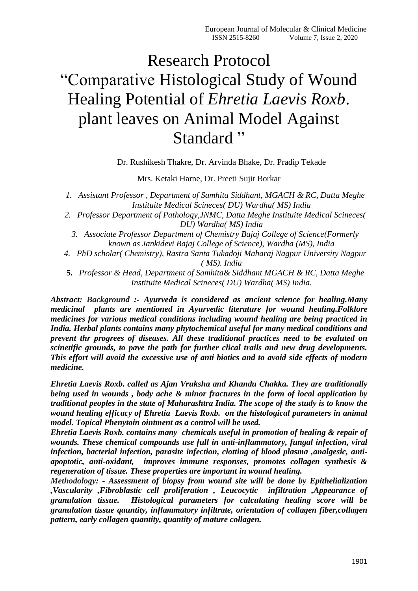# Research Protocol "Comparative Histological Study of Wound Healing Potential of *Ehretia Laevis Roxb*. plant leaves on Animal Model Against Standard"

Dr. Rushikesh Thakre, Dr. Arvinda Bhake, Dr. Pradip Tekade

Mrs. Ketaki Harne, Dr. Preeti Sujit Borkar

- *1. Assistant Professor , Department of Samhita Siddhant, MGACH & RC, Datta Meghe Instituite Medical Scineces( DU) Wardha( MS) India*
- *2. Professor Department of Pathology,JNMC, Datta Meghe Instituite Medical Scineces( DU) Wardha( MS) India*
- *3. Associate Professor Department of Chemistry Bajaj College of Science(Formerly known as Jankidevi Bajaj College of Science), Wardha (MS), India*
- *4. PhD scholar( Chemistry), Rastra Santa Tukadoji Maharaj Nagpur University Nagpur ( MS). India*
- **5.** *Professor & Head, Department of Samhita& Siddhant MGACH & RC, Datta Meghe Instituite Medical Scineces( DU) Wardha( MS) India.*

*Abstract: Background :- Ayurveda is considered as ancient science for healing.Many medicinal plants are mentioned in Ayurvedic literature for wound healing.Folklore medicines for various medical conditions including wound healing are being practiced in India. Herbal plants contains many phytochemical useful for many medical conditions and prevent thr progrees of diseases. All these traditional practices need to be evaluted on scinetific grounds, to pave the path for further clical trails and new drug developments. This effort will avoid the excessive use of anti biotics and to avoid side effects of modern medicine.* 

*Ehretia Laevis Roxb. called as Ajan Vruksha and Khandu Chakka. They are traditionally being used in wounds , body ache & minor fractures in the form of local application by traditional peoples in the state of Maharashtra India. The scope of the study is to know the wound healing efficacy of Ehretia Laevis Roxb. on the histological parameters in animal model. Topical Phenytoin ointment as a control will be used.* 

*Ehretia Laevis Roxb. contains many chemicals useful in promotion of healing & repair of wounds. These chemical compounds use full in anti-inflammatory, fungal infection, viral infection, bacterial infection, parasite infection, clotting of blood plasma ,analgesic, antiapoptotic, anti-oxidant, improves immune responses, promotes collagen synthesis & regeneration of tissue. These properties are important in wound healing.* 

*Methodology: - Assessment of biopsy from wound site will be done by Epithelialization ,Vascularity ,Fibroblastic cell proliferation , Leucocytic infiltration ,Appearance of granulation tissue. Histological parameters for calculating healing score will be granulation tissue qauntity, inflammatory infiltrate, orientation of collagen fiber,collagen pattern, early collagen quantity, quantity of mature collagen.*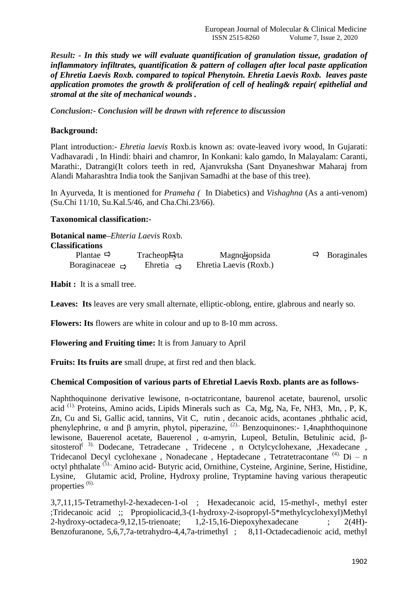*Result: - In this study we will evaluate quantification of granulation tissue, gradation of inflammatory infiltrates, quantification & pattern of collagen after local paste application of Ehretia Laevis Roxb. compared to topical Phenytoin. Ehretia Laevis Roxb. leaves paste application promotes the growth & proliferation of cell of healing& repair( epithelial and stromal at the site of mechanical wounds .* 

*Conclusion:- Conclusion will be drawn with reference to discussion*

## **Background:**

Plant introduction:- *Ehretia laevis* Roxb.is known as: ovate-leaved ivory wood, In Gujarati: Vadhavaradi , In Hindi: bhairi and chamror, In Konkani: kalo gamdo, In Malayalam: Caranti, Marathi:, Datrangi(It colors teeth in red, Ajanvruksha (Sant Dnyaneshwar Maharaj from Alandi Maharashtra India took the Sanjivan Samadhi at the base of this tree).

In Ayurveda, It is mentioned for *Prameha (* In Diabetics) and *Vishaghna* (As a anti-venom) (Su.Chi 11/10, Su.Kal.5/46, and Cha.Chi.23/66).

## **Taxonomical classification:-**

**Botanical name–***Ehteria Laevis* Roxb.

### **Classifications**

| Plantae $\Rightarrow$      | Tracheophyta          | Magnoliopsida          | $\Rightarrow$ Boraginales |
|----------------------------|-----------------------|------------------------|---------------------------|
| Boraginaceae $\Rightarrow$ | Ehretia $\rightarrow$ | Ehretia Laevis (Roxb.) |                           |

**Habit :** It is a small tree.

Leaves: Its leaves are very small alternate, elliptic-oblong, entire, glabrous and nearly so.

**Flowers: Its** flowers are white in colour and up to 8-10 mm across.

**Flowering and Fruiting time:** It is from January to April

**Fruits: Its fruits are** small drupe, at first red and then black.

## **Chemical Composition of various parts of Ehretial Laevis Roxb. plants are as follows-**

Naphthoquinone derivative lewisone, n-octatricontane, baurenol acetate, baurenol, ursolic acid (1). Proteins, Amino acids, Lipids Minerals such as Ca, Mg, Na, Fe, NH3, Mn, , P, K, Zn, Cu and Si, Gallic acid, tannins, Vit C, rutin , decanoic acids, acontanes ,phthalic acid, phenylephrine,  $\alpha$  and  $\beta$  amyrin, phytol, piperazine, <sup>(2)</sup>. Benzoquinones:- 1,4naphthoquinone lewisone, Bauerenol acetate, Bauerenol , α-amyrin, Lupeol, Betulin, Betulinic acid, βsitosterol<sup>( $3)$ </sup>. Dodecane, Tetradecane, Tridecene, n Octylcyclohexane, Hexadecane, Tridecanol Decyl cyclohexane, Nonadecane, Heptadecane, Tetratetracontane  $(4)$ . Di – n octyl phthalate (5).. Amino acid- Butyric acid, Ornithine, Cysteine, Arginine, Serine, Histidine, Lysine, Glutamic acid, Proline, Hydroxy proline, Tryptamine having various therapeutic properties (6).

3,7,11,15-Tetramethyl-2-hexadecen-1-ol ; Hexadecanoic acid, 15-methyl-, methyl ester ;Tridecanoic acid ;; Ppropiolicacid,3-(1-hydroxy-2-isopropyl-5\*methylcyclohexyl)Methyl 2-hydroxy-octadeca-9,12,15-trienoate; 1,2-15,16-Diepoxyhexadecane ; 2(4H)- Benzofuranone, 5,6,7,7a-tetrahydro-4,4,7a-trimethyl ; 8,11-Octadecadienoic acid, methyl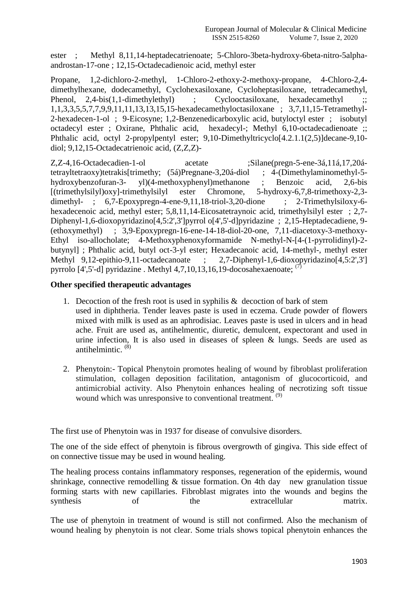ester ; Methyl 8,11,14-heptadecatrienoate; 5-Chloro-3beta-hydroxy-6beta-nitro-5alphaandrostan-17-one ; 12,15-Octadecadienoic acid, methyl ester

Propane, 1,2-dichloro-2-methyl, 1-Chloro-2-ethoxy-2-methoxy-propane, 4-Chloro-2,4 dimethylhexane, dodecamethyl, Cyclohexasiloxane, Cycloheptasiloxane, tetradecamethyl, Phenol, 2,4-bis(1,1-dimethylethyl) ; Cyclooctasiloxane, hexadecamethyl 1,1,3,3,5,5,7,7,9,9,11,11,13,13,15,15-hexadecamethyloctasiloxane ; 3,7,11,15-Tetramethyl-2-hexadecen-1-ol ; 9-Eicosyne; 1,2-Benzenedicarboxylic acid, butyloctyl ester ; isobutyl octadecyl ester ; Oxirane, Phthalic acid, hexadecyl-; Methyl 6,10-octadecadienoate ;; Phthalic acid, octyl 2-propylpentyl ester; 9,10-Dimethyltricyclo<sup>[4.2.1.1(2,5)</sup>]decane-9,10diol; 9,12,15-Octadecatrienoic acid, (Z,Z,Z)-

Z,Z-4,16-Octadecadien-1-ol acetate ;Silane(pregn-5-ene-3á,11á,17,20átetrayltetraoxy)tetrakis[trimethy; (5á)Pregnane-3,20á-diol ; 4-(Dimethylaminomethyl-5 hydroxybenzofuran-3- yl)(4-methoxyphenyl)methanone ; Benzoic acid, 2,6-bis [(trimethylsilyl)oxy]-trimethylsilyl ester Chromone, 5-hydroxy-6,7,8-trimethoxy-2,3 dimethyl- ; 6,7-Epoxypregn-4-ene-9,11,18-triol-3,20-dione ; 2-Trimethylsiloxy-6hexadecenoic acid, methyl ester; 5,8,11,14-Eicosatetraynoic acid, trimethylsilyl ester ; 2,7-Diphenyl-1,6-dioxopyridazino[4,5:2',3']pyrrol o[4',5'-d]pyridazine ; 2,15-Heptadecadiene, 9- (ethoxymethyl) ; 3,9-Epoxypregn-16-ene-14-18-diol-20-one, 7,11-diacetoxy-3-methoxy-Ethyl iso-allocholate; 4-Methoxyphenoxyformamide N-methyl-N-[4-(1-pyrrolidinyl)-2 butynyl] ; Phthalic acid, butyl oct-3-yl ester; Hexadecanoic acid, 14-methyl-, methyl ester Methyl 9,12-epithio-9,11-octadecanoate ; 2,7-Diphenyl-1,6-dioxopyridazino[4,5:2',3'] pyrrolo  $[4,5'-d]$  pyridazine . Methyl 4,7,10,13,16,19-docosahexaenoate;  $(7)$ 

# **Other specified therapeutic advantages**

- 1. Decoction of the fresh root is used in syphilis  $\&$  decoction of bark of stem used in diphtheria. Tender leaves paste is used in eczema. Crude powder of flowers mixed with milk is used as an aphrodisiac. Leaves paste is used in ulcers and in head ache. Fruit are used as, antihelmentic, diuretic, demulcent, expectorant and used in urine infection, It is also used in diseases of spleen & lungs. Seeds are used as antihelmintic.  $^{(8)}$
- 2. Phenytoin:- Topical Phenytoin promotes healing of wound by fibroblast proliferation stimulation, collagen deposition facilitation, antagonism of glucocorticoid, and antimicrobial activity. Also Phenytoin enhances healing of necrotizing soft tissue wound which was unresponsive to conventional treatment.<sup>(9)</sup>

The first use of Phenytoin was in 1937 for disease of convulsive disorders.

The one of the side effect of phenytoin is fibrous overgrowth of gingiva. This side effect of on connective tissue may be used in wound healing.

The healing process contains inflammatory responses, regeneration of the epidermis, wound shrinkage, connective remodelling & tissue formation. On 4th day new granulation tissue forming starts with new capillaries. Fibroblast migrates into the wounds and begins the synthesis of the extracellular matrix.

The use of phenytoin in treatment of wound is still not confirmed. Also the mechanism of wound healing by phenytoin is not clear. Some trials shows topical phenytoin enhances the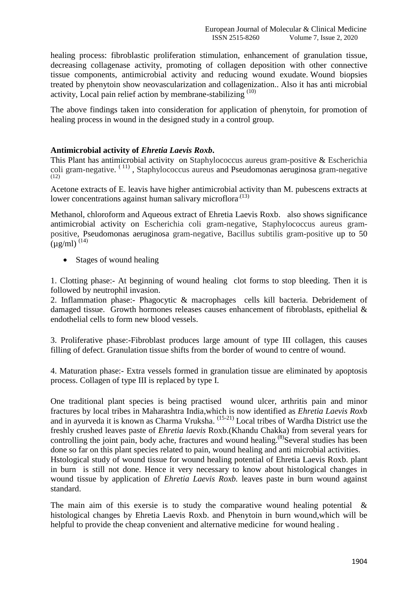healing process: fibroblastic proliferation stimulation, enhancement of granulation tissue, decreasing collagenase activity, promoting of collagen deposition with other connective tissue components, antimicrobial activity and reducing wound exudate. Wound biopsies treated by phenytoin show neovascularization and collagenization.. Also it has anti microbial activity, Local pain relief action by membrane-stabilizing  $(10)$ 

The above findings taken into consideration for application of phenytoin, for promotion of healing process in wound in the designed study in a control group.

# **Antimicrobial activity of** *Ehretia Laevis Roxb***.**

This Plant has antimicrobial activity on Staphylococcus aureus gram-positive & Escherichia coli gram-negative. <sup>(11)</sup>, Staphylococcus aureus and Pseudomonas aeruginosa gram-negative (12)

Acetone extracts of E. leavis have higher antimicrobial activity than M. pubescens extracts at lower concentrations against human salivary microflora<sup>.(13)</sup>

Methanol, chloroform and Aqueous extract of Ehretia Laevis Roxb. also shows significance antimicrobial activity on Escherichia coli gram-negative, Staphylococcus aureus grampositive, Pseudomonas aeruginosa gram-negative, Bacillus subtilis gram-positive up to 50  $(\mu g/ml)^{(14)}$ 

• Stages of wound healing

standard.

1. Clotting phase:- At beginning of wound healing clot forms to stop bleeding. Then it is followed by neutrophil invasion.

2. Inflammation phase:- Phagocytic & macrophages cells kill bacteria. Debridement of damaged tissue. Growth hormones releases causes enhancement of fibroblasts, epithelial & endothelial cells to form new blood vessels.

3. Proliferative phase:-Fibroblast produces large amount of type III collagen, this causes filling of defect. Granulation tissue shifts from the border of wound to centre of wound.

4. Maturation phase:- Extra vessels formed in granulation tissue are eliminated by apoptosis process. Collagen of type III is replaced by type I.

One traditional plant species is being practised wound ulcer, arthritis pain and minor fractures by local tribes in Maharashtra India*,*which is now identified as *Ehretia Laevis Rox*b and in ayurveda it is known as Charma Vruksha. <sup>(15-21)</sup> Local tribes of Wardha District use the freshly crushed leaves paste of *Ehretia laevis* Roxb.(Khandu Chakka) from several years for controlling the joint pain, body ache, fractures and wound healing.<sup>(8)</sup>Several studies has been done so far on this plant species related to pain, wound healing and anti microbial activities. Hstological study of wound tissue for wound healing potential of Ehretia Laevis Roxb. plant in burn is still not done. Hence it very necessary to know about histological changes in wound tissue by application of *Ehretia Laevis Roxb.* leaves paste in burn wound against

The main aim of this exersie is to study the comparative wound healing potential  $\&$ histological changes by Ehretia Laevis Roxb. and Phenytoin in burn wound,which will be helpful to provide the cheap convenient and alternative medicine for wound healing .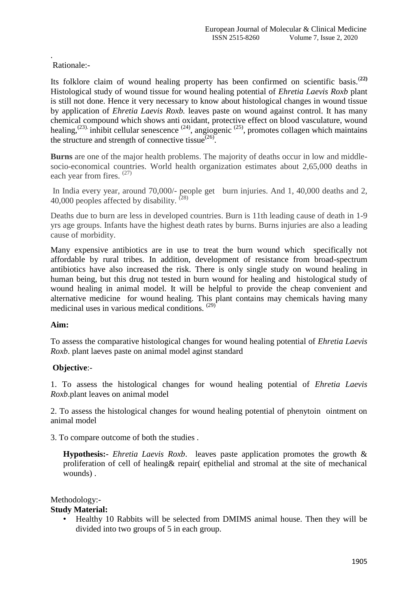## . Rationale:-

Its folklore claim of wound healing property has been confirmed on scientific basis.(**22)** Histological study of wound tissue for wound healing potential of *Ehretia Laevis Roxb* plant is still not done. Hence it very necessary to know about histological changes in wound tissue by application of *Ehretia Laevis Roxb.* leaves paste on wound against control. It has many chemical compound which shows anti oxidant, protective effect on blood vasculature, wound healing,  $^{(23)}$  inhibit cellular senescence  $^{(24)}$ , angiogenic  $^{(25)}$ , promotes collagen which maintains the structure and strength of connective tissue $(26)$ .

**Burns** are one of the major health problems. The majority of deaths occur in low and middlesocio-economical countries. World health organization estimates about 2,65,000 deaths in each year from fires. <sup>(27)</sup>

In India every year, around 70,000/- people get burn injuries. And 1, 40,000 deaths and 2, 40,000 peoples affected by disability.  $(28)$ 

Deaths due to burn are less in developed countries. Burn is 11th leading cause of death in 1-9 yrs age groups. Infants have the highest death rates by burns. Burns injuries are also a leading cause of morbidity.

Many expensive antibiotics are in use to treat the burn wound which specifically not affordable by rural tribes. In addition, development of resistance from broad-spectrum antibiotics have also increased the risk. There is only single study on wound healing in human being, but this drug not tested in burn wound for healing and histological study of wound healing in animal model. It will be helpful to provide the cheap convenient and alternative medicine for wound healing. This plant contains may chemicals having many medicinal uses in various medical conditions. (29)

## **Aim:**

To assess the comparative histological changes for wound healing potential of *Ehretia Laevis Roxb*. plant laeves paste on animal model aginst standard

## **Objective**:-

1. To assess the histological changes for wound healing potential of *Ehretia Laevis Roxb*.plant leaves on animal model

2. To assess the histological changes for wound healing potential of phenytoin ointment on animal model

3. To compare outcome of both the studies .

**Hypothesis:-** *Ehretia Laevis Roxb*. leaves paste application promotes the growth & proliferation of cell of healing& repair( epithelial and stromal at the site of mechanical wounds) .

# Methodology:-

# **Study Material:**

• Healthy 10 Rabbits will be selected from DMIMS animal house. Then they will be divided into two groups of 5 in each group.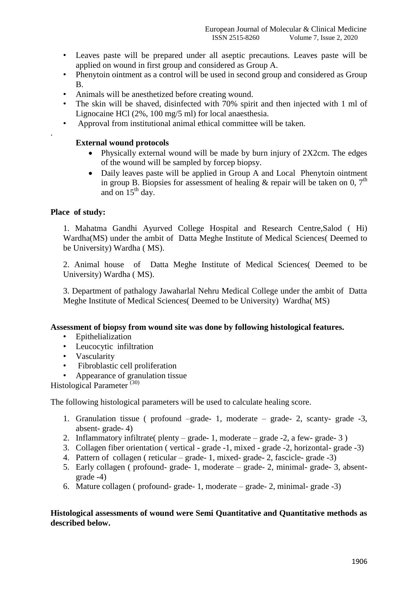- Leaves paste will be prepared under all aseptic precautions. Leaves paste will be applied on wound in first group and considered as Group A.
- Phenytoin ointment as a control will be used in second group and considered as Group B.
- Animals will be anesthetized before creating wound.
- The skin will be shaved, disinfected with 70% spirit and then injected with 1 ml of Lignocaine HCl (2%, 100 mg/5 ml) for local anaesthesia.
- Approval from institutional animal ethical committee will be taken.

## **External wound protocols**

- Physically external wound will be made by burn injury of 2X2cm. The edges of the wound will be sampled by forcep biopsy.
- Daily leaves paste will be applied in Group A and Local Phenytoin ointment in group B. Biopsies for assessment of healing & repair will be taken on 0,  $7^{\text{th}}$ and on  $15<sup>th</sup>$  day.

# **Place of study:**

.

1. Mahatma Gandhi Ayurved College Hospital and Research Centre,Salod ( Hi) Wardha(MS) under the ambit of Datta Meghe Institute of Medical Sciences( Deemed to be University) Wardha ( MS).

2. Animal house of Datta Meghe Institute of Medical Sciences( Deemed to be University) Wardha ( MS).

3. Department of pathalogy Jawaharlal Nehru Medical College under the ambit of Datta Meghe Institute of Medical Sciences( Deemed to be University) Wardha( MS)

## **Assessment of biopsy from wound site was done by following histological features.**

- Epithelialization
- Leucocytic infiltration
- Vascularity
- Fibroblastic cell proliferation
- Appearance of granulation tissue

Histological Parameter (30)

The following histological parameters will be used to calculate healing score.

- 1. Granulation tissue ( profound –grade- 1, moderate grade- 2, scanty- grade -3, absent- grade- 4)
- 2. Inflammatory infiltrate( plenty grade- 1, moderate grade -2, a few- grade- 3 )
- 3. Collagen fiber orientation ( vertical grade -1, mixed grade -2, horizontal- grade -3)
- 4. Pattern of collagen ( reticular grade- 1, mixed- grade- 2, fascicle- grade -3)
- 5. Early collagen ( profound- grade- 1, moderate grade- 2, minimal- grade- 3, absentgrade -4)
- 6. Mature collagen ( profound- grade- 1, moderate grade- 2, minimal- grade -3)

# **Histological assessments of wound were Semi Quantitative and Quantitative methods as described below.**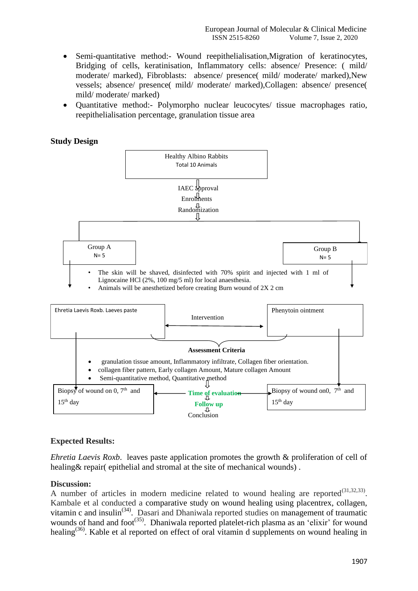- Semi-quantitative method:- Wound reepithelialisation,Migration of keratinocytes, Bridging of cells, keratinisation, Inflammatory cells: absence/ Presence: ( mild/ moderate/ marked), Fibroblasts: absence/ presence( mild/ moderate/ marked),New vessels; absence/ presence( mild/ moderate/ marked),Collagen: absence/ presence( mild/ moderate/ marked)
- Quantitative method:- Polymorpho nuclear leucocytes/ tissue macrophages ratio, reepithelialisation percentage, granulation tissue area

## **Study Design**



## **Expected Results:**

*Ehretia Laevis Roxb*. leaves paste application promotes the growth & proliferation of cell of healing & repair (epithelial and stromal at the site of mechanical wounds).

#### **Discussion:**

A number of articles in modern medicine related to wound healing are reported $^{(31,32,33)}$ . Kambale et al conducted a comparative study on wound healing using placentrex, collagen, vitamin c and insulin<sup>(34)</sup>. Dasari and Dhaniwala reported studies on management of traumatic wounds of hand and foot<sup>(35)</sup>. Dhaniwala reported platelet-rich plasma as an 'elixir' for wound healing<sup>(36)</sup>. Kable et al reported on effect of oral vitamin d supplements on wound healing in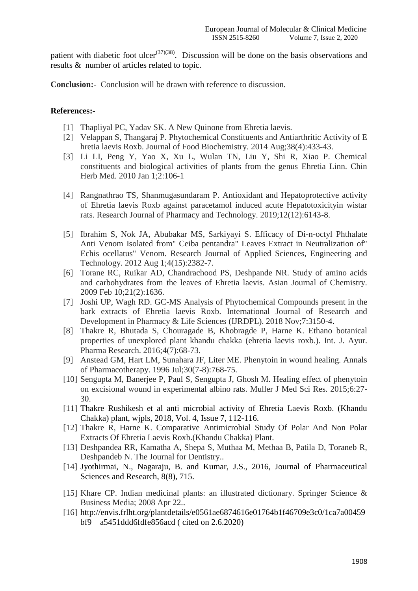patient with diabetic foot ulcer $(37)(38)$ . Discussion will be done on the basis observations and results & number of articles related to topic.

**Conclusion:-** Conclusion will be drawn with reference to discussion.

## **References:-**

- [1] Thapliyal PC, Yadav SK. A New Quinone from Ehretia laevis.
- [2] Velappan S, Thangaraj P. Phytochemical Constituents and Antiarthritic Activity of E hretia laevis Roxb. Journal of Food Biochemistry. 2014 Aug;38(4):433-43.
- [3] Li LI, Peng Y, Yao X, Xu L, Wulan TN, Liu Y, Shi R, Xiao P. Chemical constituents and biological activities of plants from the genus Ehretia Linn. Chin Herb Med. 2010 Jan 1;2:106-1
- [4] Rangnathrao TS, Shanmugasundaram P. Antioxidant and Hepatoprotective activity of Ehretia laevis Roxb against paracetamol induced acute Hepatotoxicityin wistar rats. Research Journal of Pharmacy and Technology. 2019;12(12):6143-8.
- [5] Ibrahim S, Nok JA, Abubakar MS, Sarkiyayi S. Efficacy of Di-n-octyl Phthalate Anti Venom Isolated from" Ceiba pentandra" Leaves Extract in Neutralization of" Echis ocellatus" Venom. Research Journal of Applied Sciences, Engineering and Technology. 2012 Aug 1;4(15):2382-7.
- [6] Torane RC, Ruikar AD, Chandrachood PS, Deshpande NR. Study of amino acids and carbohydrates from the leaves of Ehretia laevis. Asian Journal of Chemistry. 2009 Feb 10;21(2):1636.
- [7] Joshi UP, Wagh RD. GC-MS Analysis of Phytochemical Compounds present in the bark extracts of Ehretia laevis Roxb. International Journal of Research and Development in Pharmacy & Life Sciences (IJRDPL). 2018 Nov;7:3150-4.
- [8] Thakre R, Bhutada S, Chouragade B, Khobragde P, Harne K. Ethano botanical properties of unexplored plant khandu chakka (ehretia laevis roxb.). Int. J. Ayur. Pharma Research. 2016;4(7):68-73.
- [9] Anstead GM, Hart LM, Sunahara JF, Liter ME. Phenytoin in wound healing. Annals of Pharmacotherapy. 1996 Jul;30(7-8):768-75.
- [10] Sengupta M, Banerjee P, Paul S, Sengupta J, Ghosh M. Healing effect of phenytoin on excisional wound in experimental albino rats. Muller J Med Sci Res. 2015;6:27- 30.
- [11] Thakre Rushikesh et al anti microbial activity of Ehretia Laevis Roxb. (Khandu Chakka) plant, wjpls, 2018, Vol. 4, Issue 7, 112-116.
- [12] Thakre R, Harne K. Comparative Antimicrobial Study Of Polar And Non Polar Extracts Of Ehretia Laevis Roxb.(Khandu Chakka) Plant.
- [13] Deshpandea RR, Kamatha A, Shepa S, Muthaa M, Methaa B, Patila D, Toraneb R, Deshpandeb N. The Journal for Dentistry..
- [14] Jyothirmai, N., Nagaraju, B. and Kumar, J.S., 2016, Journal of Pharmaceutical Sciences and Research, 8(8), 715.
- [15] Khare CP. Indian medicinal plants: an illustrated dictionary. Springer Science & Business Media; 2008 Apr 22..
- [16] http://envis.frlht.org/plantdetails/e0561ae6874616e01764b1f46709e3c0/1ca7a00459 bf9 a5451ddd6fdfe856acd ( cited on 2.6.2020)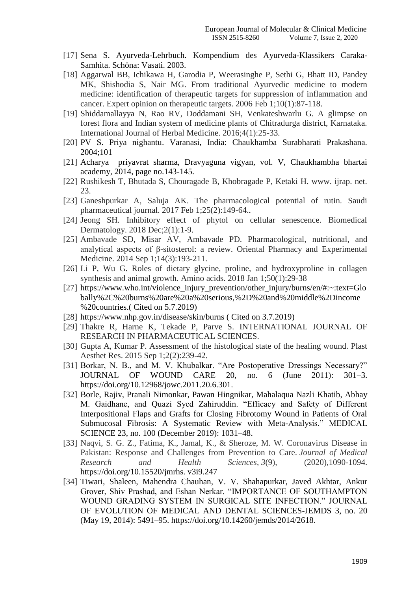- [17] Sena S. Ayurveda-Lehrbuch. Kompendium des Ayurveda-Klassikers Caraka-Samhita. Schöna: Vasati. 2003.
- [18] Aggarwal BB, Ichikawa H, Garodia P, Weerasinghe P, Sethi G, Bhatt ID, Pandey MK, Shishodia S, Nair MG. From traditional Ayurvedic medicine to modern medicine: identification of therapeutic targets for suppression of inflammation and cancer. Expert opinion on therapeutic targets. 2006 Feb 1;10(1):87-118.
- [19] Shiddamallayya N, Rao RV, Doddamani SH, Venkateshwarlu G. A glimpse on forest flora and Indian system of medicine plants of Chitradurga district, Karnataka. International Journal of Herbal Medicine. 2016;4(1):25-33.
- [20] PV S. Priya nighantu. Varanasi, India: Chaukhamba Surabharati Prakashana. 2004;101
- [21] Acharya priyavrat sharma, Dravyaguna vigyan, vol. V, Chaukhambha bhartai academy, 2014, page no.143-145.
- [22] Rushikesh T, Bhutada S, Chouragade B, Khobragade P, Ketaki H. www. ijrap. net. 23.
- [23] Ganeshpurkar A, Saluja AK. The pharmacological potential of rutin. Saudi pharmaceutical journal. 2017 Feb 1;25(2):149-64..
- [24] Jeong SH. Inhibitory effect of phytol on cellular senescence. Biomedical Dermatology. 2018 Dec;2(1):1-9.
- [25] Ambavade SD, Misar AV, Ambavade PD. Pharmacological, nutritional, and analytical aspects of β-sitosterol: a review. Oriental Pharmacy and Experimental Medicine. 2014 Sep 1;14(3):193-211.
- [26] Li P, Wu G. Roles of dietary glycine, proline, and hydroxyproline in collagen synthesis and animal growth. Amino acids. 2018 Jan 1;50(1):29-38
- [27] https://www.who.int/violence\_injury\_prevention/other\_injury/burns/en/#:~:text=Glo bally%2C%20burns%20are%20a%20serious,%2D%20and%20middle%2Dincome %20countries.( Cited on 5.7.2019)
- [28] https://www.nhp.gov.in/disease/skin/burns (Cited on 3.7.2019)
- [29] Thakre R, Harne K, Tekade P, Parve S. INTERNATIONAL JOURNAL OF RESEARCH IN PHARMACEUTICAL SCIENCES.
- [30] Gupta A, Kumar P. Assessment of the histological state of the healing wound. Plast Aesthet Res. 2015 Sep 1;2(2):239-42.
- [31] Borkar, N. B., and M. V. Khubalkar. "Are Postoperative Dressings Necessary?" JOURNAL OF WOUND CARE 20, no. 6 (June 2011): 301–3. https://doi.org/10.12968/jowc.2011.20.6.301.
- [32] Borle, Rajiv, Pranali Nimonkar, Pawan Hingnikar, Mahalaqua Nazli Khatib, Abhay M. Gaidhane, and Quazi Syed Zahiruddin. "Efficacy and Safety of Different Interpositional Flaps and Grafts for Closing Fibrotomy Wound in Patients of Oral Submucosal Fibrosis: A Systematic Review with Meta-Analysis." MEDICAL SCIENCE 23, no. 100 (December 2019): 1031–48.
- [33] Naqvi, S. G. Z., Fatima, K., Jamal, K., & Sheroze, M. W. Coronavirus Disease in Pakistan: Response and Challenges from Prevention to Care. *Journal of Medical Research and Health Sciences*, *3*(9), (2020),1090-1094. https://doi.org/10.15520/jmrhs. v3i9.247
- [34] Tiwari, Shaleen, Mahendra Chauhan, V. V. Shahapurkar, Javed Akhtar, Ankur Grover, Shiv Prashad, and Eshan Nerkar. "IMPORTANCE OF SOUTHAMPTON WOUND GRADING SYSTEM IN SURGICAL SITE INFECTION." JOURNAL OF EVOLUTION OF MEDICAL AND DENTAL SCIENCES-JEMDS 3, no. 20 (May 19, 2014): 5491–95. https://doi.org/10.14260/jemds/2014/2618.